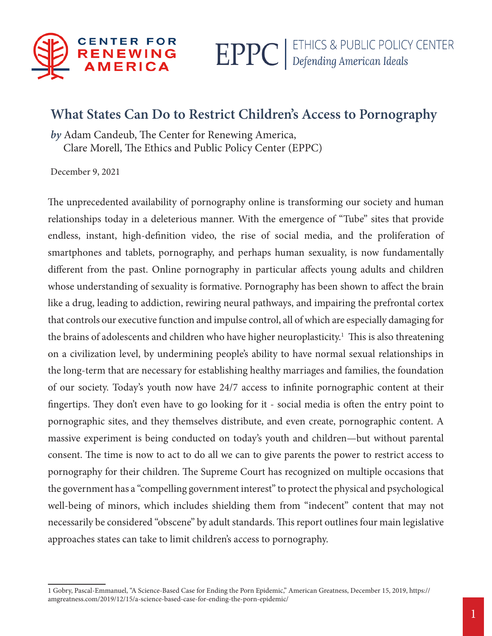

### **What States Can Do to Restrict Children's Access to Pornography**

*by* Adam Candeub, The Center for Renewing America, Clare Morell, The Ethics and Public Policy Center (EPPC)

December 9, 2021

The unprecedented availability of pornography online is transforming our society and human relationships today in a deleterious manner. With the emergence of "Tube" sites that provide endless, instant, high-definition video, the rise of social media, and the proliferation of smartphones and tablets, pornography, and perhaps human sexuality, is now fundamentally different from the past. Online pornography in particular affects young adults and children whose understanding of sexuality is formative. Pornography has been shown to affect the brain like a drug, leading to addiction, rewiring neural pathways, and impairing the prefrontal cortex that controls our executive function and impulse control, all of which are especially damaging for the brains of adolescents and children who have higher neuroplasticity.<sup>1</sup> This is also threatening on a civilization level, by undermining people's ability to have normal sexual relationships in the long-term that are necessary for establishing healthy marriages and families, the foundation of our society. Today's youth now have 24/7 access to infinite pornographic content at their fingertips. They don't even have to go looking for it - social media is often the entry point to pornographic sites, and they themselves distribute, and even create, pornographic content. A massive experiment is being conducted on today's youth and children—but without parental consent. The time is now to act to do all we can to give parents the power to restrict access to pornography for their children. The Supreme Court has recognized on multiple occasions that the government has a "compelling government interest" to protect the physical and psychological well-being of minors, which includes shielding them from "indecent" content that may not necessarily be considered "obscene" by adult standards. This report outlines four main legislative approaches states can take to limit children's access to pornography.

<sup>1</sup> Gobry, Pascal-Emmanuel, "A Science-Based Case for Ending the Porn Epidemic," American Greatness, December 15, 2019, https:// amgreatness.com/2019/12/15/a-science-based-case-for-ending-the-porn-epidemic/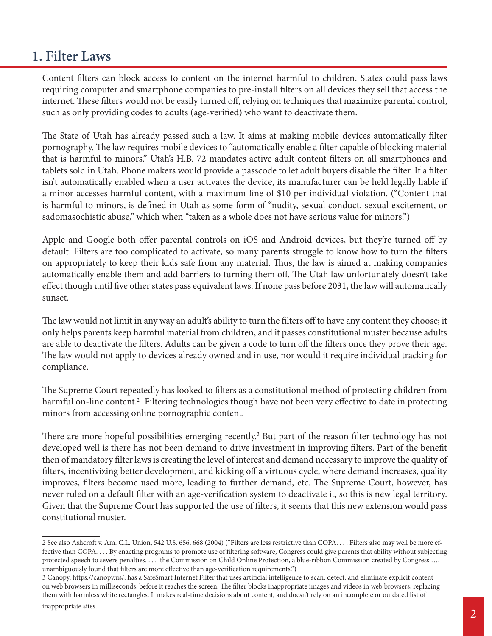#### **1. Filter Laws**

Content filters can block access to content on the internet harmful to children. States could pass laws requiring computer and smartphone companies to pre-install filters on all devices they sell that access the internet. These filters would not be easily turned off, relying on techniques that maximize parental control, such as only providing codes to adults (age-verified) who want to deactivate them.

The State of Utah has already passed such a law. It aims at making mobile devices automatically filter pornography. The law requires mobile devices to "automatically enable a filter capable of blocking material that is harmful to minors." Utah's H.B. 72 mandates active adult content filters on all smartphones and tablets sold in Utah. Phone makers would provide a passcode to let adult buyers disable the filter. If a filter isn't automatically enabled when a user activates the device, its manufacturer can be held legally liable if a minor accesses harmful content, with a maximum fine of \$10 per individual violation. ("Content that is harmful to minors, is defined in Utah as some form of "nudity, sexual conduct, sexual excitement, or sadomasochistic abuse," which when "taken as a whole does not have serious value for minors.")

Apple and Google both offer parental controls on iOS and Android devices, but they're turned off by default. Filters are too complicated to activate, so many parents struggle to know how to turn the filters on appropriately to keep their kids safe from any material. Thus, the law is aimed at making companies automatically enable them and add barriers to turning them off. The Utah law unfortunately doesn't take effect though until five other states pass equivalent laws. If none pass before 2031, the law will automatically sunset.

The law would not limit in any way an adult's ability to turn the filters off to have any content they choose; it only helps parents keep harmful material from children, and it passes constitutional muster because adults are able to deactivate the filters. Adults can be given a code to turn off the filters once they prove their age. The law would not apply to devices already owned and in use, nor would it require individual tracking for compliance.

The Supreme Court repeatedly has looked to filters as a constitutional method of protecting children from harmful on-line content.<sup>2</sup> Filtering technologies though have not been very effective to date in protecting minors from accessing online pornographic content.

There are more hopeful possibilities emerging recently.<sup>3</sup> But part of the reason filter technology has not developed well is there has not been demand to drive investment in improving filters. Part of the benefit then of mandatory filter laws is creating the level of interest and demand necessary to improve the quality of filters, incentivizing better development, and kicking off a virtuous cycle, where demand increases, quality improves, filters become used more, leading to further demand, etc. The Supreme Court, however, has never ruled on a default filter with an age-verification system to deactivate it, so this is new legal territory. Given that the Supreme Court has supported the use of filters, it seems that this new extension would pass constitutional muster.

<sup>2</sup> See also Ashcroft v. Am. C.L. Union, 542 U.S. 656, 668 (2004) ("Filters are less restrictive than COPA. . . . Filters also may well be more effective than COPA. . . . By enacting programs to promote use of filtering software, Congress could give parents that ability without subjecting protected speech to severe penalties. . . . the Commission on Child Online Protection, a blue-ribbon Commission created by Congress …. unambiguously found that filters are more effective than age-verification requirements.")

<sup>3</sup> Canopy, https://canopy.us/, has a SafeSmart Internet Filter that uses artificial intelligence to scan, detect, and eliminate explicit content on web browsers in milliseconds, before it reaches the screen. The filter blocks inappropriate images and videos in web browsers, replacing them with harmless white rectangles. It makes real-time decisions about content, and doesn't rely on an incomplete or outdated list of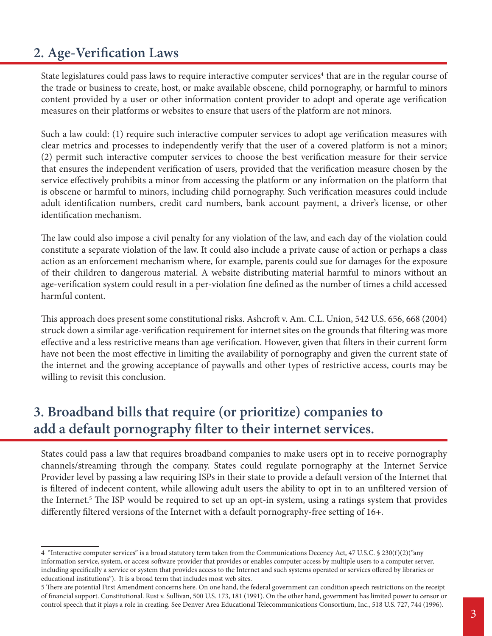### **2. Age-Verification Laws**

State legislatures could pass laws to require interactive computer services<sup>4</sup> that are in the regular course of the trade or business to create, host, or make available obscene, child pornography, or harmful to minors content provided by a user or other information content provider to adopt and operate age verification measures on their platforms or websites to ensure that users of the platform are not minors.

Such a law could: (1) require such interactive computer services to adopt age verification measures with clear metrics and processes to independently verify that the user of a covered platform is not a minor; (2) permit such interactive computer services to choose the best verification measure for their service that ensures the independent verification of users, provided that the verification measure chosen by the service effectively prohibits a minor from accessing the platform or any information on the platform that is obscene or harmful to minors, including child pornography. Such verification measures could include adult identification numbers, credit card numbers, bank account payment, a driver's license, or other identification mechanism.

The law could also impose a civil penalty for any violation of the law, and each day of the violation could constitute a separate violation of the law. It could also include a private cause of action or perhaps a class action as an enforcement mechanism where, for example, parents could sue for damages for the exposure of their children to dangerous material. A website distributing material harmful to minors without an age-verification system could result in a per-violation fine defined as the number of times a child accessed harmful content.

This approach does present some constitutional risks. Ashcroft v. Am. C.L. Union, 542 U.S. 656, 668 (2004) struck down a similar age-verification requirement for internet sites on the grounds that filtering was more effective and a less restrictive means than age verification. However, given that filters in their current form have not been the most effective in limiting the availability of pornography and given the current state of the internet and the growing acceptance of paywalls and other types of restrictive access, courts may be willing to revisit this conclusion.

## **3. Broadband bills that require (or prioritize) companies to add a default pornography filter to their internet services.**

States could pass a law that requires broadband companies to make users opt in to receive pornography channels/streaming through the company. States could regulate pornography at the Internet Service Provider level by passing a law requiring ISPs in their state to provide a default version of the Internet that is filtered of indecent content, while allowing adult users the ability to opt in to an unfiltered version of the Internet.<sup>5</sup> The ISP would be required to set up an opt-in system, using a ratings system that provides differently filtered versions of the Internet with a default pornography-free setting of 16+.

<sup>4 &</sup>quot;Interactive computer services" is a broad statutory term taken from the Communications Decency Act, 47 U.S.C. § 230(f)(2)("any information service, system, or access software provider that provides or enables computer access by multiple users to a computer server, including specifically a service or system that provides access to the Internet and such systems operated or services offered by libraries or educational institutions"). It is a broad term that includes most web sites.

<sup>5</sup> There are potential First Amendment concerns here. On one hand, the federal government can condition speech restrictions on the receipt of financial support. Constitutional. Rust v. Sullivan, 500 U.S. 173, 181 (1991). On the other hand, government has limited power to censor or control speech that it plays a role in creating. See Denver Area Educational Telecommunications Consortium, Inc., 518 U.S. 727, 744 (1996).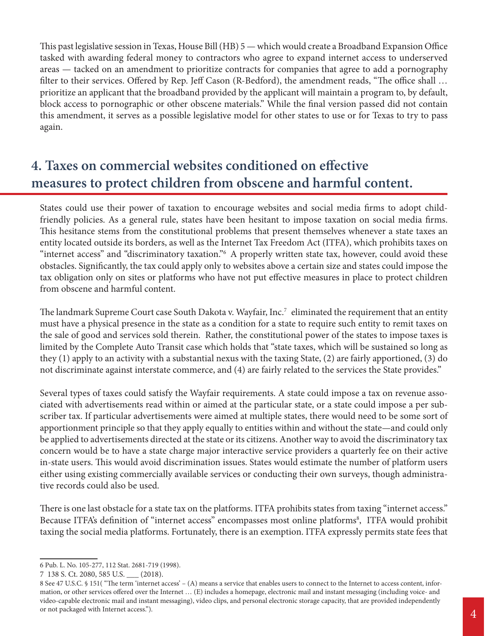This past legislative session in Texas, House Bill (HB) 5 — which would create a Broadband Expansion Office tasked with awarding federal money to contractors who agree to expand internet access to underserved areas — tacked on an amendment to prioritize contracts for companies that agree to add a pornography filter to their services. Offered by Rep. Jeff Cason (R-Bedford), the amendment reads, "The office shall … prioritize an applicant that the broadband provided by the applicant will maintain a program to, by default, block access to pornographic or other obscene materials." While the final version passed did not contain this amendment, it serves as a possible legislative model for other states to use or for Texas to try to pass again.

# **4. Taxes on commercial websites conditioned on effective measures to protect children from obscene and harmful content.**

States could use their power of taxation to encourage websites and social media firms to adopt childfriendly policies. As a general rule, states have been hesitant to impose taxation on social media firms. This hesitance stems from the constitutional problems that present themselves whenever a state taxes an entity located outside its borders, as well as the Internet Tax Freedom Act (ITFA), which prohibits taxes on "internet access" and "discriminatory taxation."6 A properly written state tax, however, could avoid these obstacles. Significantly, the tax could apply only to websites above a certain size and states could impose the tax obligation only on sites or platforms who have not put effective measures in place to protect children from obscene and harmful content.

The landmark Supreme Court case South Dakota v. Wayfair, Inc.<sup>7</sup> eliminated the requirement that an entity must have a physical presence in the state as a condition for a state to require such entity to remit taxes on the sale of good and services sold therein. Rather, the constitutional power of the states to impose taxes is limited by the Complete Auto Transit case which holds that "state taxes, which will be sustained so long as they (1) apply to an activity with a substantial nexus with the taxing State, (2) are fairly apportioned, (3) do not discriminate against interstate commerce, and (4) are fairly related to the services the State provides."

Several types of taxes could satisfy the Wayfair requirements. A state could impose a tax on revenue associated with advertisements read within or aimed at the particular state, or a state could impose a per subscriber tax. If particular advertisements were aimed at multiple states, there would need to be some sort of apportionment principle so that they apply equally to entities within and without the state—and could only be applied to advertisements directed at the state or its citizens. Another way to avoid the discriminatory tax concern would be to have a state charge major interactive service providers a quarterly fee on their active in-state users. This would avoid discrimination issues. States would estimate the number of platform users either using existing commercially available services or conducting their own surveys, though administrative records could also be used.

There is one last obstacle for a state tax on the platforms. ITFA prohibits states from taxing "internet access." Because ITFA's definition of "internet access" encompasses most online platforms<sup>8</sup>, ITFA would prohibit taxing the social media platforms. Fortunately, there is an exemption. ITFA expressly permits state fees that

<sup>6</sup> Pub. L. No. 105-277, 112 Stat. 2681-719 (1998).

<sup>7 138</sup> S. Ct. 2080, 585 U.S. \_\_\_ (2018).

<sup>8</sup> See 47 U.S.C. § 151( "The term 'internet access' – (A) means a service that enables users to connect to the Internet to access content, information, or other services offered over the Internet … (E) includes a homepage, electronic mail and instant messaging (including voice- and video-capable electronic mail and instant messaging), video clips, and personal electronic storage capacity, that are provided independently or not packaged with Internet access.").